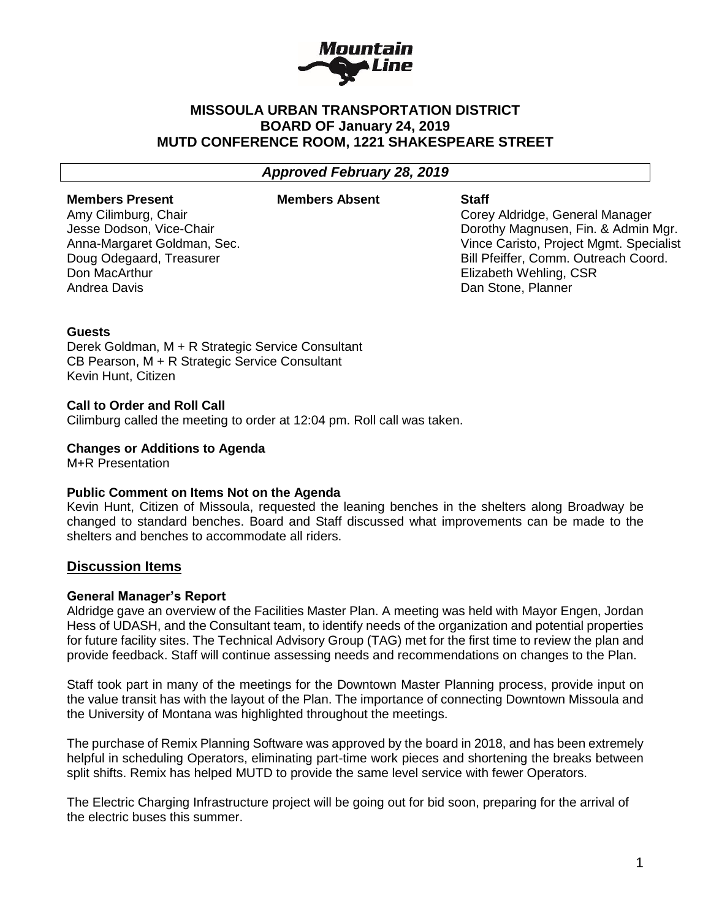

# **MISSOULA URBAN TRANSPORTATION DISTRICT BOARD OF January 24, 2019 MUTD CONFERENCE ROOM, 1221 SHAKESPEARE STREET**

## *Approved February 28, 2019*

#### **Members Present**

#### **Members Absent Staff**

Amy Cilimburg, Chair Jesse Dodson, Vice-Chair Anna-Margaret Goldman, Sec. Doug Odegaard, Treasurer Don MacArthur Andrea Davis

Corey Aldridge, General Manager Dorothy Magnusen, Fin. & Admin Mgr. Vince Caristo, Project Mgmt. Specialist Bill Pfeiffer, Comm. Outreach Coord. Elizabeth Wehling, CSR Dan Stone, Planner

### **Guests**

Derek Goldman, M + R Strategic Service Consultant CB Pearson, M + R Strategic Service Consultant Kevin Hunt, Citizen

### **Call to Order and Roll Call**

Cilimburg called the meeting to order at 12:04 pm. Roll call was taken.

#### **Changes or Additions to Agenda**

M+R Presentation

## **Public Comment on Items Not on the Agenda**

Kevin Hunt, Citizen of Missoula, requested the leaning benches in the shelters along Broadway be changed to standard benches. Board and Staff discussed what improvements can be made to the shelters and benches to accommodate all riders.

## **Discussion Items**

#### **General Manager's Report**

Aldridge gave an overview of the Facilities Master Plan. A meeting was held with Mayor Engen, Jordan Hess of UDASH, and the Consultant team, to identify needs of the organization and potential properties for future facility sites. The Technical Advisory Group (TAG) met for the first time to review the plan and provide feedback. Staff will continue assessing needs and recommendations on changes to the Plan.

Staff took part in many of the meetings for the Downtown Master Planning process, provide input on the value transit has with the layout of the Plan. The importance of connecting Downtown Missoula and the University of Montana was highlighted throughout the meetings.

The purchase of Remix Planning Software was approved by the board in 2018, and has been extremely helpful in scheduling Operators, eliminating part-time work pieces and shortening the breaks between split shifts. Remix has helped MUTD to provide the same level service with fewer Operators.

The Electric Charging Infrastructure project will be going out for bid soon, preparing for the arrival of the electric buses this summer.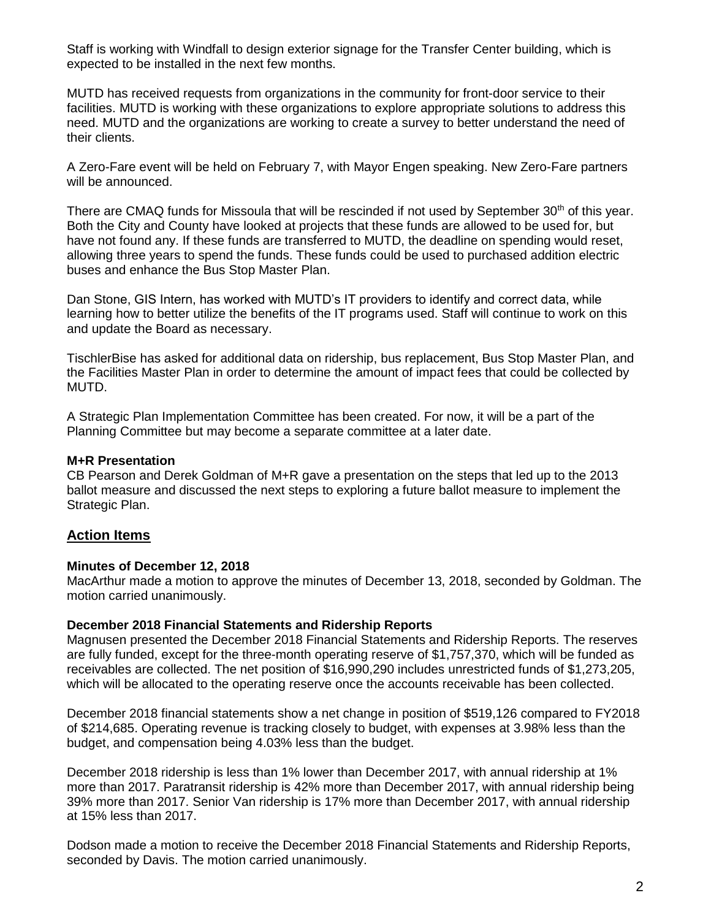Staff is working with Windfall to design exterior signage for the Transfer Center building, which is expected to be installed in the next few months.

MUTD has received requests from organizations in the community for front-door service to their facilities. MUTD is working with these organizations to explore appropriate solutions to address this need. MUTD and the organizations are working to create a survey to better understand the need of their clients.

A Zero-Fare event will be held on February 7, with Mayor Engen speaking. New Zero-Fare partners will be announced.

There are CMAQ funds for Missoula that will be rescinded if not used by September 30<sup>th</sup> of this year. Both the City and County have looked at projects that these funds are allowed to be used for, but have not found any. If these funds are transferred to MUTD, the deadline on spending would reset, allowing three years to spend the funds. These funds could be used to purchased addition electric buses and enhance the Bus Stop Master Plan.

Dan Stone, GIS Intern, has worked with MUTD's IT providers to identify and correct data, while learning how to better utilize the benefits of the IT programs used. Staff will continue to work on this and update the Board as necessary.

TischlerBise has asked for additional data on ridership, bus replacement, Bus Stop Master Plan, and the Facilities Master Plan in order to determine the amount of impact fees that could be collected by MUTD.

A Strategic Plan Implementation Committee has been created. For now, it will be a part of the Planning Committee but may become a separate committee at a later date.

#### **M+R Presentation**

CB Pearson and Derek Goldman of M+R gave a presentation on the steps that led up to the 2013 ballot measure and discussed the next steps to exploring a future ballot measure to implement the Strategic Plan.

## **Action Items**

## **Minutes of December 12, 2018**

MacArthur made a motion to approve the minutes of December 13, 2018, seconded by Goldman. The motion carried unanimously.

#### **December 2018 Financial Statements and Ridership Reports**

Magnusen presented the December 2018 Financial Statements and Ridership Reports. The reserves are fully funded, except for the three-month operating reserve of \$1,757,370, which will be funded as receivables are collected. The net position of \$16,990,290 includes unrestricted funds of \$1,273,205, which will be allocated to the operating reserve once the accounts receivable has been collected.

December 2018 financial statements show a net change in position of \$519,126 compared to FY2018 of \$214,685. Operating revenue is tracking closely to budget, with expenses at 3.98% less than the budget, and compensation being 4.03% less than the budget.

December 2018 ridership is less than 1% lower than December 2017, with annual ridership at 1% more than 2017. Paratransit ridership is 42% more than December 2017, with annual ridership being 39% more than 2017. Senior Van ridership is 17% more than December 2017, with annual ridership at 15% less than 2017.

Dodson made a motion to receive the December 2018 Financial Statements and Ridership Reports, seconded by Davis. The motion carried unanimously.